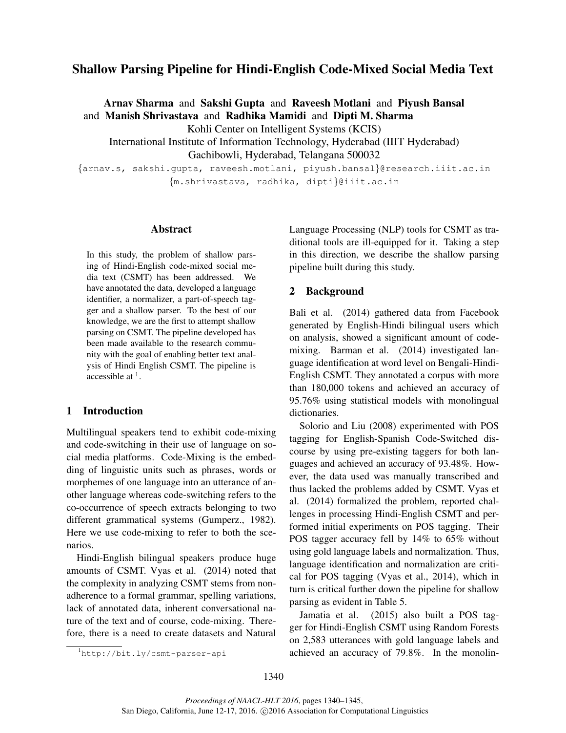# Shallow Parsing Pipeline for Hindi-English Code-Mixed Social Media Text

Arnav Sharma and Sakshi Gupta and Raveesh Motlani and Piyush Bansal and Manish Shrivastava and Radhika Mamidi and Dipti M. Sharma Kohli Center on Intelligent Systems (KCIS) International Institute of Information Technology, Hyderabad (IIIT Hyderabad) Gachibowli, Hyderabad, Telangana 500032

{arnav.s, sakshi.gupta, raveesh.motlani, piyush.bansal}@research.iiit.ac.in {m.shrivastava, radhika, dipti}@iiit.ac.in

#### Abstract

In this study, the problem of shallow parsing of Hindi-English code-mixed social media text (CSMT) has been addressed. We have annotated the data, developed a language identifier, a normalizer, a part-of-speech tagger and a shallow parser. To the best of our knowledge, we are the first to attempt shallow parsing on CSMT. The pipeline developed has been made available to the research community with the goal of enabling better text analysis of Hindi English CSMT. The pipeline is accessible at  $<sup>1</sup>$ .</sup>

#### 1 Introduction

Multilingual speakers tend to exhibit code-mixing and code-switching in their use of language on social media platforms. Code-Mixing is the embedding of linguistic units such as phrases, words or morphemes of one language into an utterance of another language whereas code-switching refers to the co-occurrence of speech extracts belonging to two different grammatical systems (Gumperz., 1982). Here we use code-mixing to refer to both the scenarios.

Hindi-English bilingual speakers produce huge amounts of CSMT. Vyas et al. (2014) noted that the complexity in analyzing CSMT stems from nonadherence to a formal grammar, spelling variations, lack of annotated data, inherent conversational nature of the text and of course, code-mixing. Therefore, there is a need to create datasets and Natural

Language Processing (NLP) tools for CSMT as traditional tools are ill-equipped for it. Taking a step in this direction, we describe the shallow parsing pipeline built during this study.

# 2 Background

Bali et al. (2014) gathered data from Facebook generated by English-Hindi bilingual users which on analysis, showed a significant amount of codemixing. Barman et al. (2014) investigated language identification at word level on Bengali-Hindi-English CSMT. They annotated a corpus with more than 180,000 tokens and achieved an accuracy of 95.76% using statistical models with monolingual dictionaries.

Solorio and Liu (2008) experimented with POS tagging for English-Spanish Code-Switched discourse by using pre-existing taggers for both languages and achieved an accuracy of 93.48%. However, the data used was manually transcribed and thus lacked the problems added by CSMT. Vyas et al. (2014) formalized the problem, reported challenges in processing Hindi-English CSMT and performed initial experiments on POS tagging. Their POS tagger accuracy fell by 14% to 65% without using gold language labels and normalization. Thus, language identification and normalization are critical for POS tagging (Vyas et al., 2014), which in turn is critical further down the pipeline for shallow parsing as evident in Table 5.

Jamatia et al. (2015) also built a POS tagger for Hindi-English CSMT using Random Forests on 2,583 utterances with gold language labels and achieved an accuracy of 79.8%. In the monolin-

<sup>1</sup>http://bit.ly/csmt-parser-api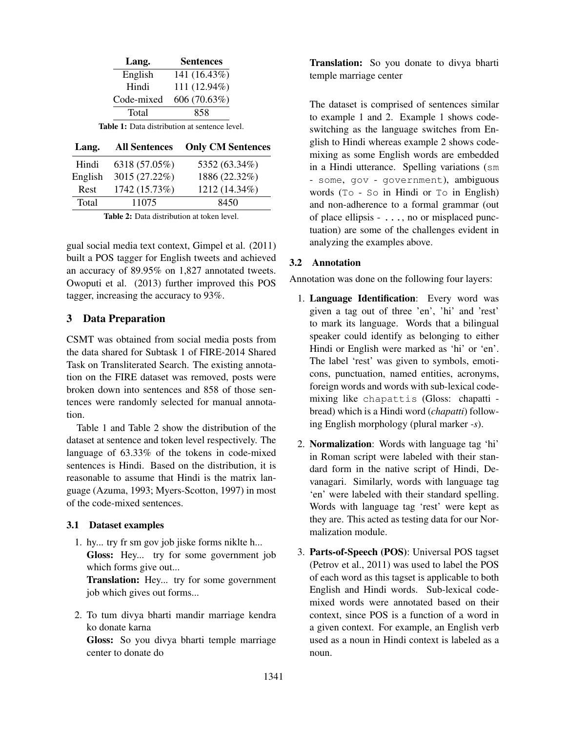| Lang.      | <b>Sentences</b> |
|------------|------------------|
| English    | 141 (16.43%)     |
| Hindi      | 111 (12.94%)     |
| Code-mixed | 606 (70.63%)     |
| Total      | 858              |
|            |                  |

Table 1: Data distribution at sentence level.

| Lang.   | <b>All Sentences</b> | <b>Only CM Sentences</b> |
|---------|----------------------|--------------------------|
| Hindi   | 6318 (57.05%)        | 5352 (63.34%)            |
| English | 3015 (27.22%)        | 1886 (22.32%)            |
| Rest    | 1742 (15.73%)        | 1212 (14.34%)            |
| Total   | 11075                | 8450                     |
|         |                      |                          |

Table 2: Data distribution at token level.

gual social media text context, Gimpel et al. (2011) built a POS tagger for English tweets and achieved an accuracy of 89.95% on 1,827 annotated tweets. Owoputi et al. (2013) further improved this POS tagger, increasing the accuracy to 93%.

# 3 Data Preparation

CSMT was obtained from social media posts from the data shared for Subtask 1 of FIRE-2014 Shared Task on Transliterated Search. The existing annotation on the FIRE dataset was removed, posts were broken down into sentences and 858 of those sentences were randomly selected for manual annotation.

Table 1 and Table 2 show the distribution of the dataset at sentence and token level respectively. The language of 63.33% of the tokens in code-mixed sentences is Hindi. Based on the distribution, it is reasonable to assume that Hindi is the matrix language (Azuma, 1993; Myers-Scotton, 1997) in most of the code-mixed sentences.

# 3.1 Dataset examples

1. hy... try fr sm gov job jiske forms niklte h... Gloss: Hey... try for some government job which forms give out...

Translation: Hey... try for some government job which gives out forms...

2. To tum divya bharti mandir marriage kendra ko donate karna

Gloss: So you divya bharti temple marriage center to donate do

Translation: So you donate to divya bharti temple marriage center

The dataset is comprised of sentences similar to example 1 and 2. Example 1 shows codeswitching as the language switches from English to Hindi whereas example 2 shows codemixing as some English words are embedded in a Hindi utterance. Spelling variations (sm - some, gov - government), ambiguous words (To - So in Hindi or To in English) and non-adherence to a formal grammar (out of place ellipsis - ..., no or misplaced punctuation) are some of the challenges evident in analyzing the examples above.

# 3.2 Annotation

Annotation was done on the following four layers:

- 1. Language Identification: Every word was given a tag out of three 'en', 'hi' and 'rest' to mark its language. Words that a bilingual speaker could identify as belonging to either Hindi or English were marked as 'hi' or 'en'. The label 'rest' was given to symbols, emoticons, punctuation, named entities, acronyms, foreign words and words with sub-lexical codemixing like chapattis (Gloss: chapatti bread) which is a Hindi word (*chapatti*) following English morphology (plural marker *-s*).
- 2. Normalization: Words with language tag 'hi' in Roman script were labeled with their standard form in the native script of Hindi, Devanagari. Similarly, words with language tag 'en' were labeled with their standard spelling. Words with language tag 'rest' were kept as they are. This acted as testing data for our Normalization module.
- 3. Parts-of-Speech (POS): Universal POS tagset (Petrov et al., 2011) was used to label the POS of each word as this tagset is applicable to both English and Hindi words. Sub-lexical codemixed words were annotated based on their context, since POS is a function of a word in a given context. For example, an English verb used as a noun in Hindi context is labeled as a noun.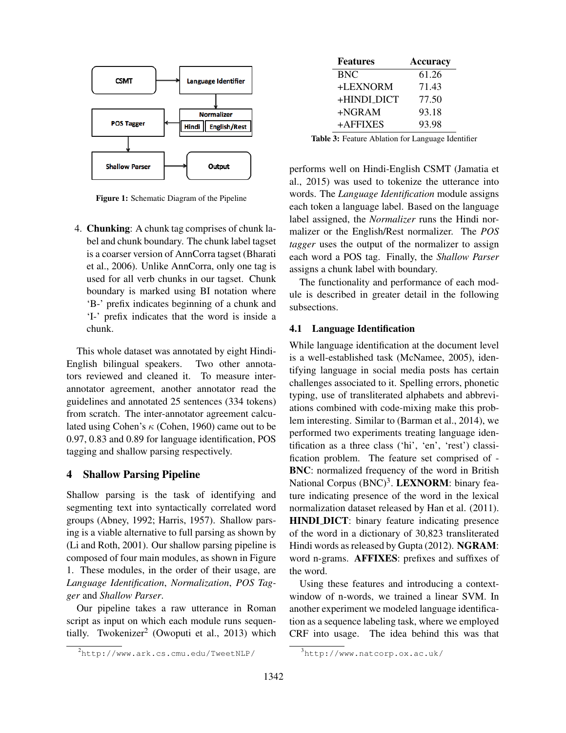

Figure 1: Schematic Diagram of the Pipeline

4. Chunking: A chunk tag comprises of chunk label and chunk boundary. The chunk label tagset is a coarser version of AnnCorra tagset (Bharati et al., 2006). Unlike AnnCorra, only one tag is used for all verb chunks in our tagset. Chunk boundary is marked using BI notation where 'B-' prefix indicates beginning of a chunk and 'I-' prefix indicates that the word is inside a chunk.

This whole dataset was annotated by eight Hindi-English bilingual speakers. Two other annotators reviewed and cleaned it. To measure interannotator agreement, another annotator read the guidelines and annotated 25 sentences (334 tokens) from scratch. The inter-annotator agreement calculated using Cohen's  $\kappa$  (Cohen, 1960) came out to be 0.97, 0.83 and 0.89 for language identification, POS tagging and shallow parsing respectively.

# 4 Shallow Parsing Pipeline

Shallow parsing is the task of identifying and segmenting text into syntactically correlated word groups (Abney, 1992; Harris, 1957). Shallow parsing is a viable alternative to full parsing as shown by (Li and Roth, 2001). Our shallow parsing pipeline is composed of four main modules, as shown in Figure 1. These modules, in the order of their usage, are *Language Identification*, *Normalization*, *POS Tagger* and *Shallow Parser*.

Our pipeline takes a raw utterance in Roman script as input on which each module runs sequentially. Twokenizer<sup>2</sup> (Owoputi et al., 2013) which

| <b>Features</b> | Accuracy |
|-----------------|----------|
| <b>BNC</b>      | 61.26    |
| +LEXNORM        | 71.43    |
| +HINDL_DICT     | 77.50    |
| $+NGRAM$        | 93.18    |
| +AFFIXES        | 93.98    |

Table 3: Feature Ablation for Language Identifier

performs well on Hindi-English CSMT (Jamatia et al., 2015) was used to tokenize the utterance into words. The *Language Identification* module assigns each token a language label. Based on the language label assigned, the *Normalizer* runs the Hindi normalizer or the English/Rest normalizer. The *POS tagger* uses the output of the normalizer to assign each word a POS tag. Finally, the *Shallow Parser* assigns a chunk label with boundary.

The functionality and performance of each module is described in greater detail in the following subsections.

#### 4.1 Language Identification

While language identification at the document level is a well-established task (McNamee, 2005), identifying language in social media posts has certain challenges associated to it. Spelling errors, phonetic typing, use of transliterated alphabets and abbreviations combined with code-mixing make this problem interesting. Similar to (Barman et al., 2014), we performed two experiments treating language identification as a three class ('hi', 'en', 'rest') classification problem. The feature set comprised of - BNC: normalized frequency of the word in British National Corpus (BNC)<sup>3</sup>. LEXNORM: binary feature indicating presence of the word in the lexical normalization dataset released by Han et al. (2011). HINDI DICT: binary feature indicating presence of the word in a dictionary of 30,823 transliterated Hindi words as released by Gupta (2012). NGRAM: word n-grams. AFFIXES: prefixes and suffixes of the word.

Using these features and introducing a contextwindow of n-words, we trained a linear SVM. In another experiment we modeled language identification as a sequence labeling task, where we employed CRF into usage. The idea behind this was that

<sup>2</sup>http://www.ark.cs.cmu.edu/TweetNLP/

<sup>3</sup>http://www.natcorp.ox.ac.uk/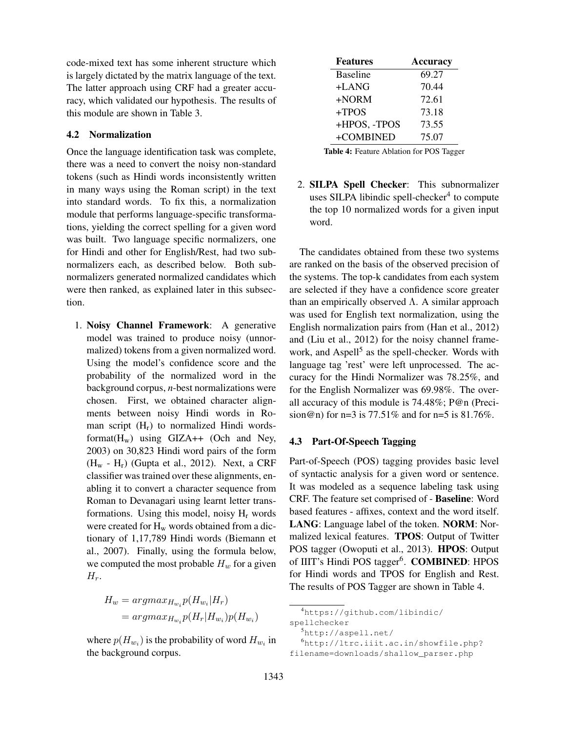code-mixed text has some inherent structure which is largely dictated by the matrix language of the text. The latter approach using CRF had a greater accuracy, which validated our hypothesis. The results of this module are shown in Table 3.

# 4.2 Normalization

Once the language identification task was complete, there was a need to convert the noisy non-standard tokens (such as Hindi words inconsistently written in many ways using the Roman script) in the text into standard words. To fix this, a normalization module that performs language-specific transformations, yielding the correct spelling for a given word was built. Two language specific normalizers, one for Hindi and other for English/Rest, had two subnormalizers each, as described below. Both subnormalizers generated normalized candidates which were then ranked, as explained later in this subsection.

1. Noisy Channel Framework: A generative model was trained to produce noisy (unnormalized) tokens from a given normalized word. Using the model's confidence score and the probability of the normalized word in the background corpus, *n*-best normalizations were chosen. First, we obtained character alignments between noisy Hindi words in Roman script  $(H_r)$  to normalized Hindi wordsformat( $H_w$ ) using GIZA++ (Och and Ney, 2003) on 30,823 Hindi word pairs of the form  $(H_w - H_r)$  (Gupta et al., 2012). Next, a CRF classifier was trained over these alignments, enabling it to convert a character sequence from Roman to Devanagari using learnt letter transformations. Using this model, noisy  $H_r$  words were created for  $H_w$  words obtained from a dictionary of 1,17,789 Hindi words (Biemann et al., 2007). Finally, using the formula below, we computed the most probable  $H_w$  for a given  $H_r$ .

$$
H_w = argmax_{H_{w_i}} p(H_{w_i}|H_r)
$$
  
= 
$$
argmax_{H_{w_i}} p(H_r|H_{w_i}) p(H_{w_i})
$$

where  $p(H_{w_i})$  is the probability of word  $H_{w_i}$  in the background corpus.

| <b>Features</b> | <b>Accuracy</b> |
|-----------------|-----------------|
| <b>Baseline</b> | 69.27           |
| +LANG           | 70.44           |
| $+NORM$         | 72.61           |
| +TPOS           | 73.18           |
| +HPOS, -TPOS    | 73.55           |
| +COMBINED       | 75.07           |

Table 4: Feature Ablation for POS Tagger

2. SILPA Spell Checker: This subnormalizer uses SILPA libindic spell-checker<sup>4</sup> to compute the top 10 normalized words for a given input word.

The candidates obtained from these two systems are ranked on the basis of the observed precision of the systems. The top-k candidates from each system are selected if they have a confidence score greater than an empirically observed  $\Lambda$ . A similar approach was used for English text normalization, using the English normalization pairs from (Han et al., 2012) and (Liu et al., 2012) for the noisy channel framework, and Aspell<sup>5</sup> as the spell-checker. Words with language tag 'rest' were left unprocessed. The accuracy for the Hindi Normalizer was 78.25%, and for the English Normalizer was 69.98%. The overall accuracy of this module is 74.48%; P@n (Precision@n) for  $n=3$  is 77.51% and for  $n=5$  is 81.76%.

# 4.3 Part-Of-Speech Tagging

Part-of-Speech (POS) tagging provides basic level of syntactic analysis for a given word or sentence. It was modeled as a sequence labeling task using CRF. The feature set comprised of - Baseline: Word based features - affixes, context and the word itself. LANG: Language label of the token. NORM: Normalized lexical features. TPOS: Output of Twitter POS tagger (Owoputi et al., 2013). HPOS: Output of IIIT's Hindi POS tagger<sup>6</sup>. COMBINED: HPOS for Hindi words and TPOS for English and Rest. The results of POS Tagger are shown in Table 4.

<sup>6</sup>http://ltrc.iiit.ac.in/showfile.php?

filename=downloads/shallow\_parser.php

<sup>4</sup>https://github.com/libindic/ spellchecker

<sup>5</sup>http://aspell.net/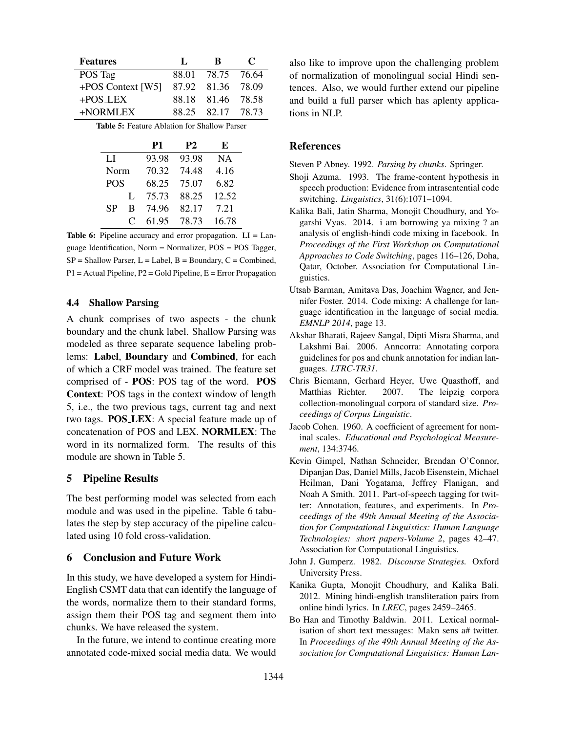| <b>Features</b>                                     | П. | R                 | $\mathbf C$ |
|-----------------------------------------------------|----|-------------------|-------------|
| POS Tag                                             |    | 88.01 78.75 76.64 |             |
| +POS Context [W5] 87.92 81.36 78.09                 |    |                   |             |
| $+$ POS_LEX                                         |    | 88.18 81.46 78.58 |             |
| +NORMLEX                                            |    | 88.25 82.17 78.73 |             |
| <b>Table 5:</b> Feature Ablation for Shallow Parser |    |                   |             |

|            |   | P <sub>1</sub> | <b>P2</b> | E         |
|------------|---|----------------|-----------|-----------|
| LI         |   | 93.98          | 93.98     | <b>NA</b> |
| Norm       |   | 70.32          | 74.48     | 4.16      |
| <b>POS</b> |   | 68.25          | 75.07     | 6.82      |
|            | L | 75.73          | 88.25     | 12.52     |
| SP         | B | 74.96          | 82.17     | 7.21      |
|            | C | 61.95          | 78.73     | 16.78     |

**Table 6:** Pipeline accuracy and error propagation.  $LI = Lan$ guage Identification, Norm = Normalizer, POS = POS Tagger,  $SP = Shallow$  Parser,  $L =$  Label,  $B =$  Boundary,  $C =$  Combined, P1 = Actual Pipeline, P2 = Gold Pipeline, E = Error Propagation

#### 4.4 Shallow Parsing

A chunk comprises of two aspects - the chunk boundary and the chunk label. Shallow Parsing was modeled as three separate sequence labeling problems: Label, Boundary and Combined, for each of which a CRF model was trained. The feature set comprised of - POS: POS tag of the word. POS Context: POS tags in the context window of length 5, i.e., the two previous tags, current tag and next two tags. POS LEX: A special feature made up of concatenation of POS and LEX. NORMLEX: The word in its normalized form. The results of this module are shown in Table 5.

#### 5 Pipeline Results

The best performing model was selected from each module and was used in the pipeline. Table 6 tabulates the step by step accuracy of the pipeline calculated using 10 fold cross-validation.

#### 6 Conclusion and Future Work

In this study, we have developed a system for Hindi-English CSMT data that can identify the language of the words, normalize them to their standard forms, assign them their POS tag and segment them into chunks. We have released the system.

In the future, we intend to continue creating more annotated code-mixed social media data. We would also like to improve upon the challenging problem of normalization of monolingual social Hindi sentences. Also, we would further extend our pipeline and build a full parser which has aplenty applications in NLP.

# References

Steven P Abney. 1992. *Parsing by chunks*. Springer.

- Shoji Azuma. 1993. The frame-content hypothesis in speech production: Evidence from intrasentential code switching. *Linguistics*, 31(6):1071–1094.
- Kalika Bali, Jatin Sharma, Monojit Choudhury, and Yogarshi Vyas. 2014. i am borrowing ya mixing ? an analysis of english-hindi code mixing in facebook. In *Proceedings of the First Workshop on Computational Approaches to Code Switching*, pages 116–126, Doha, Qatar, October. Association for Computational Linguistics.
- Utsab Barman, Amitava Das, Joachim Wagner, and Jennifer Foster. 2014. Code mixing: A challenge for language identification in the language of social media. *EMNLP 2014*, page 13.
- Akshar Bharati, Rajeev Sangal, Dipti Misra Sharma, and Lakshmi Bai. 2006. Anncorra: Annotating corpora guidelines for pos and chunk annotation for indian languages. *LTRC-TR31*.
- Chris Biemann, Gerhard Heyer, Uwe Quasthoff, and Matthias Richter. 2007. The leipzig corpora collection-monolingual corpora of standard size. *Proceedings of Corpus Linguistic*.
- Jacob Cohen. 1960. A coefficient of agreement for nominal scales. *Educational and Psychological Measurement*, 134:3746.
- Kevin Gimpel, Nathan Schneider, Brendan O'Connor, Dipanjan Das, Daniel Mills, Jacob Eisenstein, Michael Heilman, Dani Yogatama, Jeffrey Flanigan, and Noah A Smith. 2011. Part-of-speech tagging for twitter: Annotation, features, and experiments. In *Proceedings of the 49th Annual Meeting of the Association for Computational Linguistics: Human Language Technologies: short papers-Volume 2*, pages 42–47. Association for Computational Linguistics.
- John J. Gumperz. 1982. *Discourse Strategies.* Oxford University Press.
- Kanika Gupta, Monojit Choudhury, and Kalika Bali. 2012. Mining hindi-english transliteration pairs from online hindi lyrics. In *LREC*, pages 2459–2465.
- Bo Han and Timothy Baldwin. 2011. Lexical normalisation of short text messages: Makn sens a# twitter. In *Proceedings of the 49th Annual Meeting of the Association for Computational Linguistics: Human Lan-*